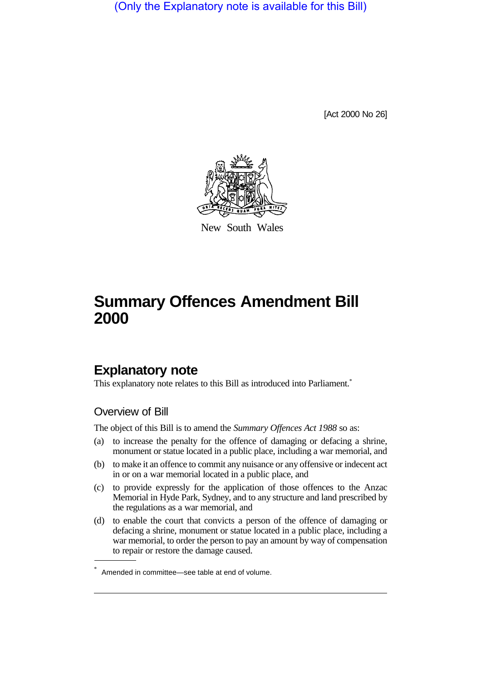(Only the Explanatory note is available for this Bill)

[Act 2000 No 26]



New South Wales

## **Summary Offences Amendment Bill 2000**

## **Explanatory note**

This explanatory note relates to this Bill as introduced into Parliament.\*

## Overview of Bill

The object of this Bill is to amend the *Summary Offences Act 1988* so as:

- (a) to increase the penalty for the offence of damaging or defacing a shrine, monument or statue located in a public place, including a war memorial, and
- (b) to make it an offence to commit any nuisance or any offensive or indecent act in or on a war memorial located in a public place, and
- (c) to provide expressly for the application of those offences to the Anzac Memorial in Hyde Park, Sydney, and to any structure and land prescribed by the regulations as a war memorial, and
- (d) to enable the court that convicts a person of the offence of damaging or defacing a shrine, monument or statue located in a public place, including a war memorial, to order the person to pay an amount by way of compensation to repair or restore the damage caused.

<sup>\*</sup> Amended in committee—see table at end of volume.